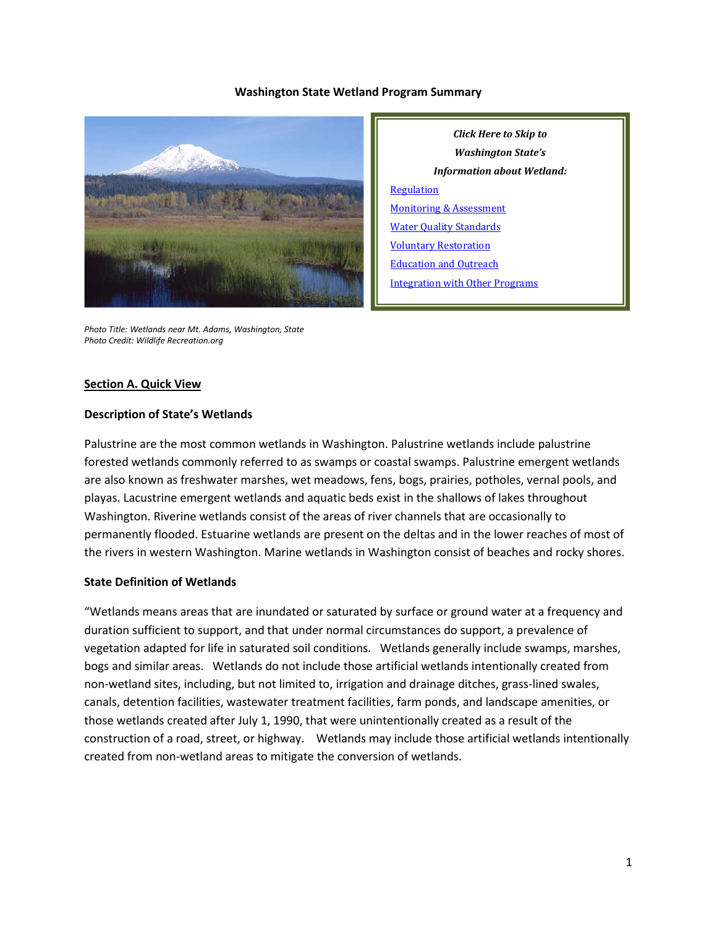#### **Washington State Wetland Program Summary**



*Click Here to Skip to Washington State's Information about Wetland:* [Regulation](#page-3-0) [Monitoring & Assessment](#page-6-0) [Water Quality Standards](#page-8-0) [Voluntary Restoration](#page-9-0) [Education and Outreach](#page-11-0) [Integration with Other Programs](#page-11-1)

*Photo Title: Wetlands near Mt. Adams, Washington, State Photo Credit: Wildlife Recreation.org*

### **Section A. Quick View**

#### **Description of State's Wetlands**

Palustrine are the most common wetlands in Washington. Palustrine wetlands include palustrine forested wetlands commonly referred to as swamps or coastal swamps. Palustrine emergent wetlands are also known as freshwater marshes, wet meadows, fens, bogs, prairies, potholes, vernal pools, and playas. Lacustrine emergent wetlands and aquatic beds exist in the shallows of lakes throughout Washington. Riverine wetlands consist of the areas of river channels that are occasionally to permanently flooded. Estuarine wetlands are present on the deltas and in the lower reaches of most of the rivers in western Washington. Marine wetlands in Washington consist of beaches and rocky shores.

### **State Definition of Wetlands**

"Wetlands means areas that are inundated or saturated by surface or ground water at a frequency and duration sufficient to support, and that under normal circumstances do support, a prevalence of vegetation adapted for life in saturated soil conditions. Wetlands generally include swamps, marshes, bogs and similar areas. Wetlands do not include those artificial wetlands intentionally created from non-wetland sites, including, but not limited to, irrigation and drainage ditches, grass-lined swales, canals, detention facilities, wastewater treatment facilities, farm ponds, and landscape amenities, or those wetlands created after July 1, 1990, that were unintentionally created as a result of the construction of a road, street, or highway. Wetlands may include those artificial wetlands intentionally created from non-wetland areas to mitigate the conversion of wetlands.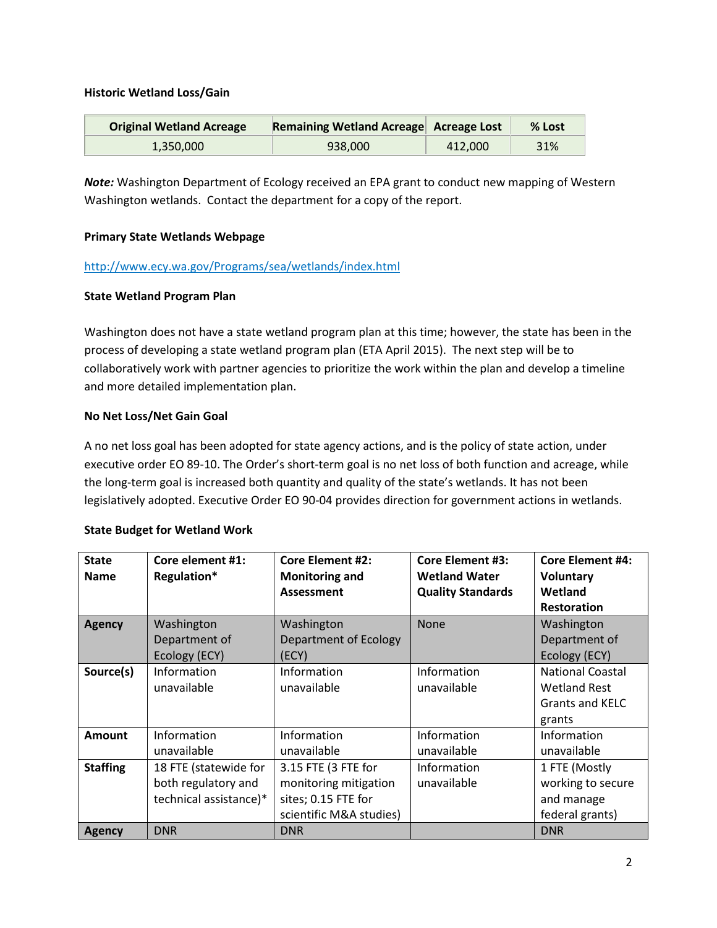## **Historic Wetland Loss/Gain**

| <b>Original Wetland Acreage</b> | Remaining Wetland Acreage Acreage Lost |         | % Lost |
|---------------------------------|----------------------------------------|---------|--------|
| 1.350.000                       | 938.000                                | 412.000 | 31%    |

*Note:* Washington Department of Ecology received an EPA grant to conduct new mapping of Western Washington wetlands. Contact the department for a copy of the report.

### **Primary State Wetlands Webpage**

### <http://www.ecy.wa.gov/Programs/sea/wetlands/index.html>

### **State Wetland Program Plan**

Washington does not have a state wetland program plan at this time; however, the state has been in the process of developing a state wetland program plan (ETA April 2015). The next step will be to collaboratively work with partner agencies to prioritize the work within the plan and develop a timeline and more detailed implementation plan.

### **No Net Loss/Net Gain Goal**

A no net loss goal has been adopted for state agency actions, and is the policy of state action, under executive order EO 89-10. The Order's short-term goal is no net loss of both function and acreage, while the long-term goal is increased both quantity and quality of the state's wetlands. It has not been legislatively adopted. Executive Order EO 90-04 provides direction for government actions in wetlands.

### **State Budget for Wetland Work**

| <b>State</b>    | Core element #1:       | <b>Core Element #2:</b> | <b>Core Element #3:</b>  | <b>Core Element #4:</b> |
|-----------------|------------------------|-------------------------|--------------------------|-------------------------|
| <b>Name</b>     | Regulation*            | <b>Monitoring and</b>   | <b>Wetland Water</b>     | <b>Voluntary</b>        |
|                 |                        | <b>Assessment</b>       | <b>Quality Standards</b> | Wetland                 |
|                 |                        |                         |                          | <b>Restoration</b>      |
| <b>Agency</b>   | Washington             | Washington              | <b>None</b>              | Washington              |
|                 | Department of          | Department of Ecology   |                          | Department of           |
|                 | Ecology (ECY)          | (ECY)                   |                          | Ecology (ECY)           |
| Source(s)       | Information            | Information             | Information              | <b>National Coastal</b> |
|                 | unavailable            | unavailable             | unavailable              | <b>Wetland Rest</b>     |
|                 |                        |                         |                          | <b>Grants and KELC</b>  |
|                 |                        |                         |                          | grants                  |
| <b>Amount</b>   | Information            | <b>Information</b>      | Information              | Information             |
|                 | unavailable            | unavailable             | unavailable              | unavailable             |
| <b>Staffing</b> | 18 FTE (statewide for  | 3.15 FTE (3 FTE for     | Information              | 1 FTE (Mostly           |
|                 | both regulatory and    | monitoring mitigation   | unavailable              | working to secure       |
|                 | technical assistance)* | sites; 0.15 FTE for     |                          | and manage              |
|                 |                        | scientific M&A studies) |                          | federal grants)         |
| <b>Agency</b>   | <b>DNR</b>             | <b>DNR</b>              |                          | <b>DNR</b>              |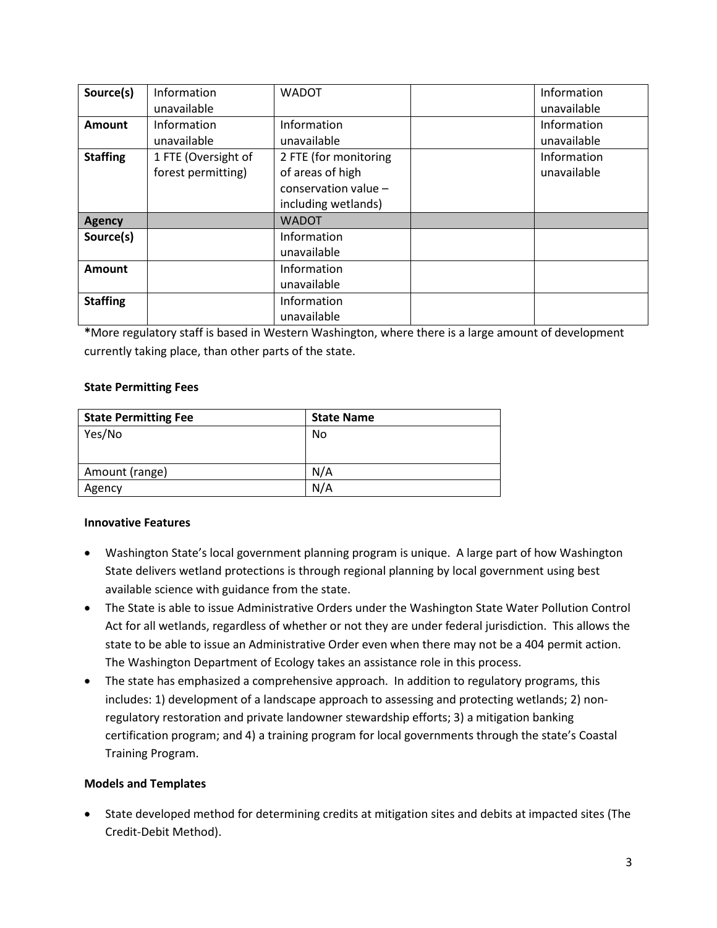| Source(s)       | Information         | <b>WADOT</b>          | Information |
|-----------------|---------------------|-----------------------|-------------|
|                 | unavailable         |                       | unavailable |
| <b>Amount</b>   | Information         | Information           | Information |
|                 | unavailable         | unavailable           | unavailable |
| <b>Staffing</b> | 1 FTE (Oversight of | 2 FTE (for monitoring | Information |
|                 | forest permitting)  | of areas of high      | unavailable |
|                 |                     | conservation value -  |             |
|                 |                     | including wetlands)   |             |
| <b>Agency</b>   |                     | <b>WADOT</b>          |             |
| Source(s)       |                     | Information           |             |
|                 |                     | unavailable           |             |
| <b>Amount</b>   |                     | Information           |             |
|                 |                     | unavailable           |             |
| <b>Staffing</b> |                     | Information           |             |
|                 |                     | unavailable           |             |

**\***More regulatory staff is based in Western Washington, where there is a large amount of development currently taking place, than other parts of the state.

## **State Permitting Fees**

| <b>State Permitting Fee</b> | <b>State Name</b> |
|-----------------------------|-------------------|
| Yes/No                      | No                |
|                             |                   |
| Amount (range)              | N/A               |
| Agency                      | N/A               |

### **Innovative Features**

- Washington State's local government planning program is unique. A large part of how Washington State delivers wetland protections is through regional planning by local government using best available science with guidance from the state.
- The State is able to issue Administrative Orders under the Washington State Water Pollution Control Act for all wetlands, regardless of whether or not they are under federal jurisdiction. This allows the state to be able to issue an Administrative Order even when there may not be a 404 permit action. The Washington Department of Ecology takes an assistance role in this process.
- The state has emphasized a comprehensive approach. In addition to regulatory programs, this includes: 1) development of a landscape approach to assessing and protecting wetlands; 2) nonregulatory restoration and private landowner stewardship efforts; 3) a mitigation banking certification program; and 4) a training program for local governments through the state's Coastal Training Program.

## **Models and Templates**

• State developed method for determining credits at mitigation sites and debits at impacted sites (The Credit-Debit Method).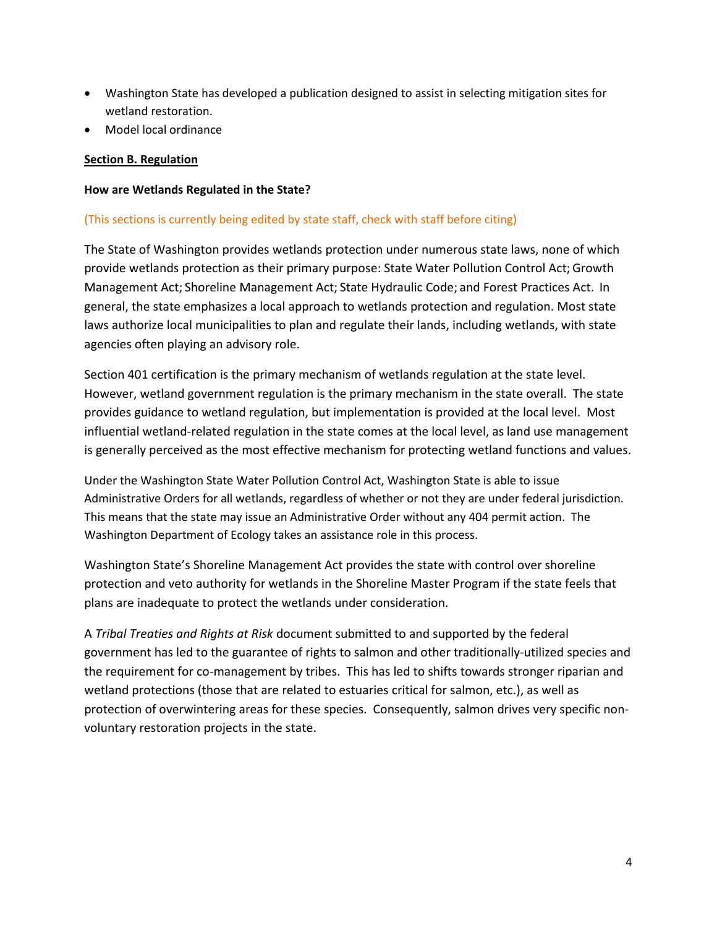- Washington State has developed a publication designed to assist in selecting mitigation sites for wetland restoration.
- Model local ordinance

## <span id="page-3-0"></span>**Section B. Regulation**

## **How are Wetlands Regulated in the State?**

## (This sections is currently being edited by state staff, check with staff before citing)

The State of Washington provides wetlands protection under numerous state laws, none of which provide wetlands protection as their primary purpose: State Water Pollution Control Act; Growth Management Act; Shoreline Management Act; State Hydraulic Code; and Forest Practices Act. In general, the state emphasizes a local approach to wetlands protection and regulation. Most state laws authorize local municipalities to plan and regulate their lands, including wetlands, with state agencies often playing an advisory role.

Section 401 certification is the primary mechanism of wetlands regulation at the state level. However, wetland government regulation is the primary mechanism in the state overall. The state provides guidance to wetland regulation, but implementation is provided at the local level. Most influential wetland-related regulation in the state comes at the local level, as land use management is generally perceived as the most effective mechanism for protecting wetland functions and values.

Under the Washington State Water Pollution Control Act, Washington State is able to issue Administrative Orders for all wetlands, regardless of whether or not they are under federal jurisdiction. This means that the state may issue an Administrative Order without any 404 permit action. The Washington Department of Ecology takes an assistance role in this process.

Washington State's Shoreline Management Act provides the state with control over shoreline protection and veto authority for wetlands in the Shoreline Master Program if the state feels that plans are inadequate to protect the wetlands under consideration.

A *Tribal Treaties and Rights at Risk* document submitted to and supported by the federal government has led to the guarantee of rights to salmon and other traditionally-utilized species and the requirement for co-management by tribes. This has led to shifts towards stronger riparian and wetland protections (those that are related to estuaries critical for salmon, etc.), as well as protection of overwintering areas for these species. Consequently, salmon drives very specific nonvoluntary restoration projects in the state.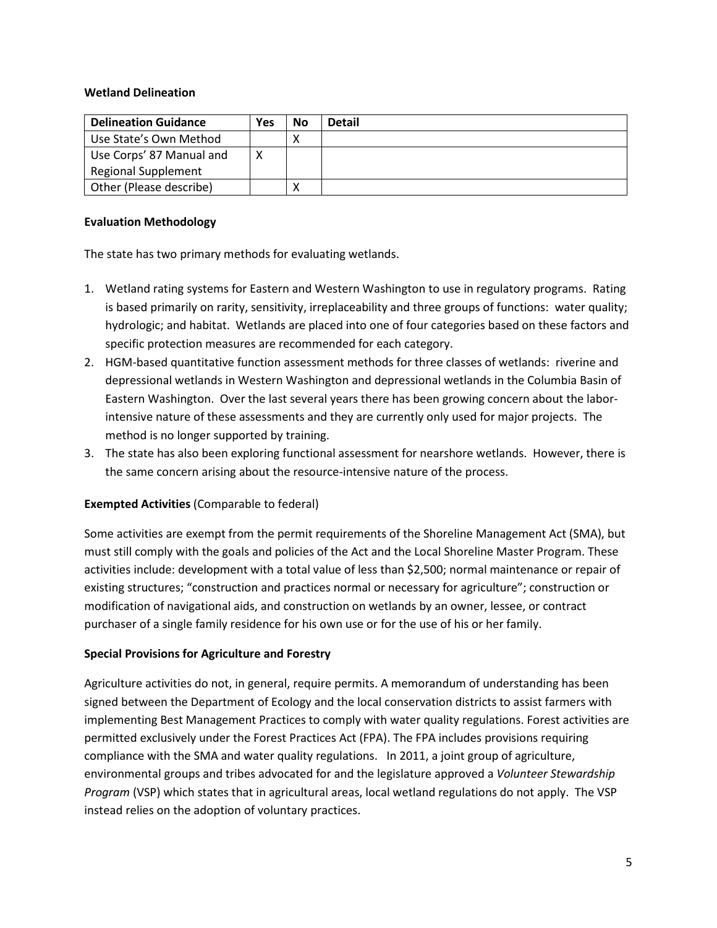### **Wetland Delineation**

| <b>Delineation Guidance</b> | Yes | No | <b>Detail</b> |
|-----------------------------|-----|----|---------------|
| Use State's Own Method      |     |    |               |
| Use Corps' 87 Manual and    |     |    |               |
| <b>Regional Supplement</b>  |     |    |               |
| Other (Please describe)     |     |    |               |

### **Evaluation Methodology**

The state has two primary methods for evaluating wetlands.

- 1. Wetland rating systems for Eastern and Western Washington to use in regulatory programs. Rating is based primarily on rarity, sensitivity, irreplaceability and three groups of functions: water quality; hydrologic; and habitat. Wetlands are placed into one of four categories based on these factors and specific protection measures are recommended for each category.
- 2. HGM-based quantitative function assessment methods for three classes of wetlands: riverine and depressional wetlands in Western Washington and depressional wetlands in the Columbia Basin of Eastern Washington. Over the last several years there has been growing concern about the laborintensive nature of these assessments and they are currently only used for major projects. The method is no longer supported by training.
- 3. The state has also been exploring functional assessment for nearshore wetlands. However, there is the same concern arising about the resource-intensive nature of the process.

## **Exempted Activities** (Comparable to federal)

Some activities are exempt from the permit requirements of the Shoreline Management Act (SMA), but must still comply with the goals and policies of the Act and the Local Shoreline Master Program. These activities include: development with a total value of less than \$2,500; normal maintenance or repair of existing structures; "construction and practices normal or necessary for agriculture"; construction or modification of navigational aids, and construction on wetlands by an owner, lessee, or contract purchaser of a single family residence for his own use or for the use of his or her family.

## **Special Provisions for Agriculture and Forestry**

Agriculture activities do not, in general, require permits. A memorandum of understanding has been signed between the Department of Ecology and the local conservation districts to assist farmers with implementing Best Management Practices to comply with water quality regulations. Forest activities are permitted exclusively under the Forest Practices Act (FPA). The FPA includes provisions requiring compliance with the SMA and water quality regulations. In 2011, a joint group of agriculture, environmental groups and tribes advocated for and the legislature approved a *Volunteer Stewardship Program* (VSP) which states that in agricultural areas, local wetland regulations do not apply. The VSP instead relies on the adoption of voluntary practices.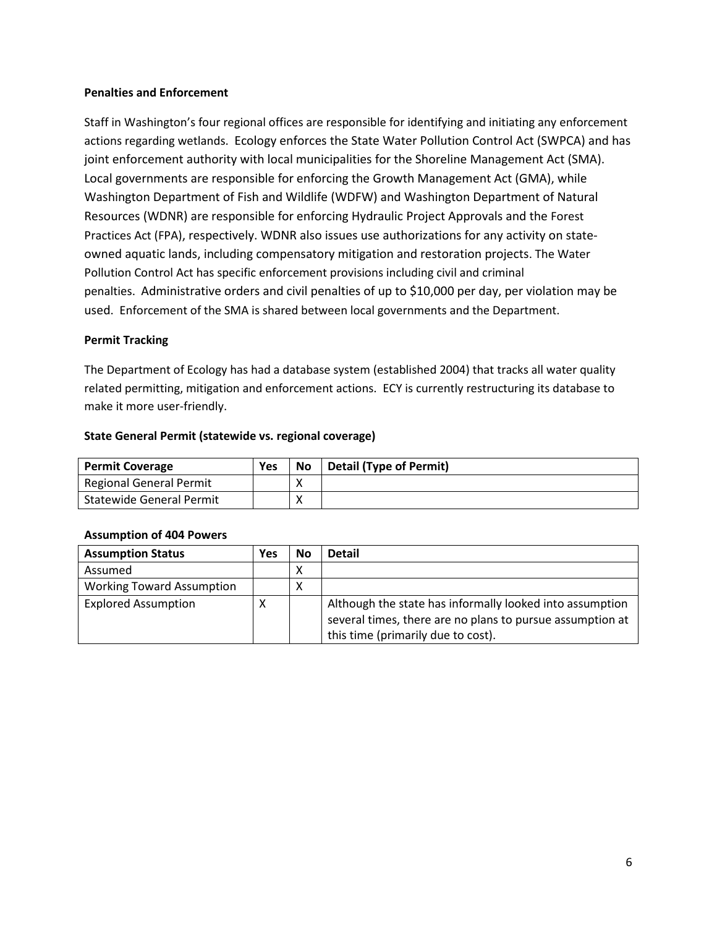## **Penalties and Enforcement**

Staff in Washington's four regional offices are responsible for identifying and initiating any enforcement actions regarding wetlands. Ecology enforces the State Water Pollution Control Act (SWPCA) and has joint enforcement authority with local municipalities for the Shoreline Management Act (SMA). Local governments are responsible for enforcing the Growth Management Act (GMA), while Washington Department of Fish and Wildlife (WDFW) and Washington Department of Natural Resources (WDNR) are responsible for enforcing Hydraulic Project Approvals and the Forest Practices Act (FPA), respectively. WDNR also issues use authorizations for any activity on stateowned aquatic lands, including compensatory mitigation and restoration projects. The Water Pollution Control Act has specific enforcement provisions including civil and criminal penalties. Administrative orders and civil penalties of up to \$10,000 per day, per violation may be used. Enforcement of the SMA is shared between local governments and the Department.

## **Permit Tracking**

The Department of Ecology has had a database system (established 2004) that tracks all water quality related permitting, mitigation and enforcement actions. ECY is currently restructuring its database to make it more user-friendly.

## **State General Permit (statewide vs. regional coverage)**

| <b>Permit Coverage</b>          | Yes | No | <b>Detail (Type of Permit)</b> |
|---------------------------------|-----|----|--------------------------------|
| <b>Regional General Permit</b>  |     |    |                                |
| <b>Statewide General Permit</b> |     |    |                                |

| <b>Assumption Status</b>         | Yes        | No | <b>Detail</b>                                                                                                                                               |
|----------------------------------|------------|----|-------------------------------------------------------------------------------------------------------------------------------------------------------------|
| Assumed                          |            | ∧  |                                                                                                                                                             |
| <b>Working Toward Assumption</b> |            |    |                                                                                                                                                             |
| <b>Explored Assumption</b>       | $\sqrt{ }$ |    | Although the state has informally looked into assumption<br>several times, there are no plans to pursue assumption at<br>this time (primarily due to cost). |

## **Assumption of 404 Powers**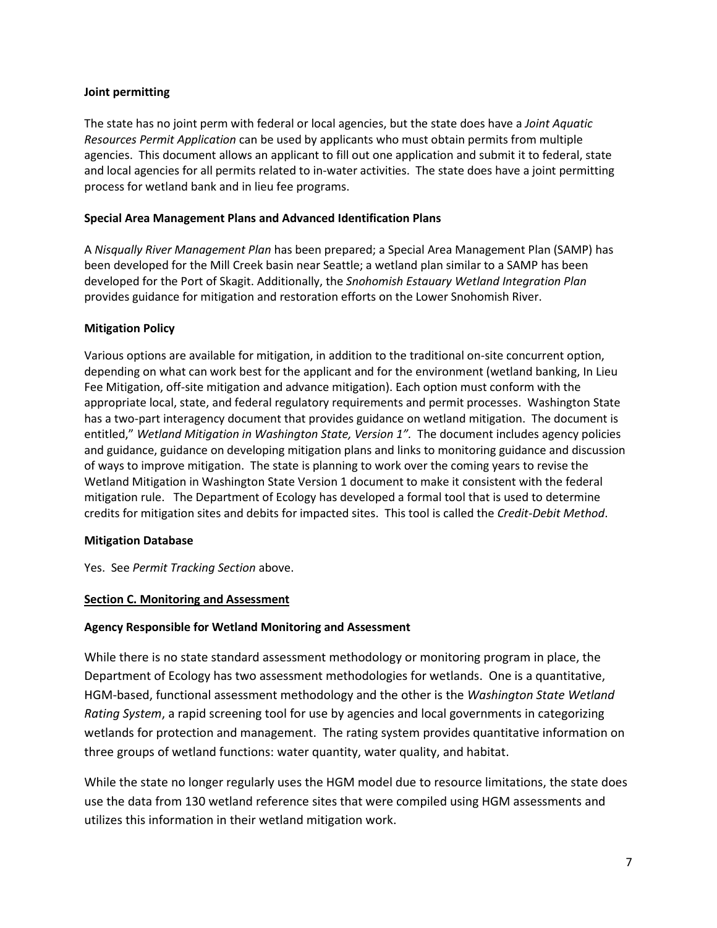## **Joint permitting**

The state has no joint perm with federal or local agencies, but the state does have a *Joint Aquatic Resources Permit Application* can be used by applicants who must obtain permits from multiple agencies. This document allows an applicant to fill out one application and submit it to federal, state and local agencies for all permits related to in-water activities. The state does have a joint permitting process for wetland bank and in lieu fee programs.

## **Special Area Management Plans and Advanced Identification Plans**

A *Nisqually River Management Plan* has been prepared; a Special Area Management Plan (SAMP) has been developed for the Mill Creek basin near Seattle; a wetland plan similar to a SAMP has been developed for the Port of Skagit. Additionally, the *Snohomish Estauary Wetland Integration Plan* provides guidance for mitigation and restoration efforts on the Lower Snohomish River.

## **Mitigation Policy**

Various options are available for mitigation, in addition to the traditional on-site concurrent option, depending on what can work best for the applicant and for the environment (wetland banking, In Lieu Fee Mitigation, off-site mitigation and advance mitigation). Each option must conform with the appropriate local, state, and federal regulatory requirements and permit processes. Washington State has a two-part interagency document that provides guidance on wetland mitigation. The document is entitled," *Wetland Mitigation in Washington State, Version 1".* The document includes agency policies and guidance, guidance on developing mitigation plans and links to monitoring guidance and discussion of ways to improve mitigation. The state is planning to work over the coming years to revise the Wetland Mitigation in Washington State Version 1 document to make it consistent with the federal mitigation rule. The Department of Ecology has developed a formal tool that is used to determine credits for mitigation sites and debits for impacted sites. This tool is called the *Credit-Debit Method*.

## **Mitigation Database**

Yes. See *Permit Tracking Section* above.

# <span id="page-6-0"></span>**Section C. Monitoring and Assessment**

## **Agency Responsible for Wetland Monitoring and Assessment**

While there is no state standard assessment methodology or monitoring program in place, the Department of Ecology has two assessment methodologies for wetlands. One is a quantitative, HGM-based, functional assessment methodology and the other is the *Washington State Wetland Rating System*, a rapid screening tool for use by agencies and local governments in categorizing wetlands for protection and management. The rating system provides quantitative information on three groups of wetland functions: water quantity, water quality, and habitat.

While the state no longer regularly uses the HGM model due to resource limitations, the state does use the data from 130 wetland reference sites that were compiled using HGM assessments and utilizes this information in their wetland mitigation work.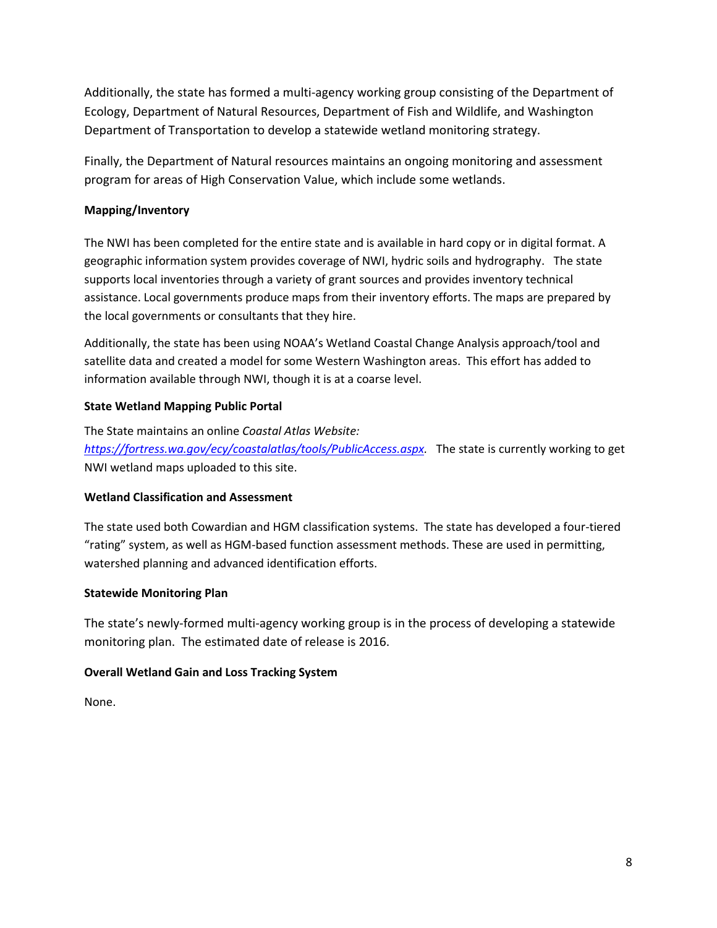Additionally, the state has formed a multi-agency working group consisting of the Department of Ecology, Department of Natural Resources, Department of Fish and Wildlife, and Washington Department of Transportation to develop a statewide wetland monitoring strategy.

Finally, the Department of Natural resources maintains an ongoing monitoring and assessment program for areas of High Conservation Value, which include some wetlands.

# **Mapping/Inventory**

The NWI has been completed for the entire state and is available in hard copy or in digital format. A geographic information system provides coverage of NWI, hydric soils and hydrography. The state supports local inventories through a variety of grant sources and provides inventory technical assistance. Local governments produce maps from their inventory efforts. The maps are prepared by the local governments or consultants that they hire.

Additionally, the state has been using NOAA's Wetland Coastal Change Analysis approach/tool and satellite data and created a model for some Western Washington areas. This effort has added to information available through NWI, though it is at a coarse level.

# **State Wetland Mapping Public Portal**

The State maintains an online *Coastal Atlas Website: [https://fortress.wa.gov/ecy/coastalatlas/tools/PublicAccess.aspx.](https://fortress.wa.gov/ecy/coastalatlas/tools/PublicAccess.aspx)* The state is currently working to get NWI wetland maps uploaded to this site.

# **Wetland Classification and Assessment**

The state used both Cowardian and HGM classification systems. The state has developed a four-tiered "rating" system, as well as HGM-based function assessment methods. These are used in permitting, watershed planning and advanced identification efforts.

# **Statewide Monitoring Plan**

The state's newly-formed multi-agency working group is in the process of developing a statewide monitoring plan. The estimated date of release is 2016.

# **Overall Wetland Gain and Loss Tracking System**

None.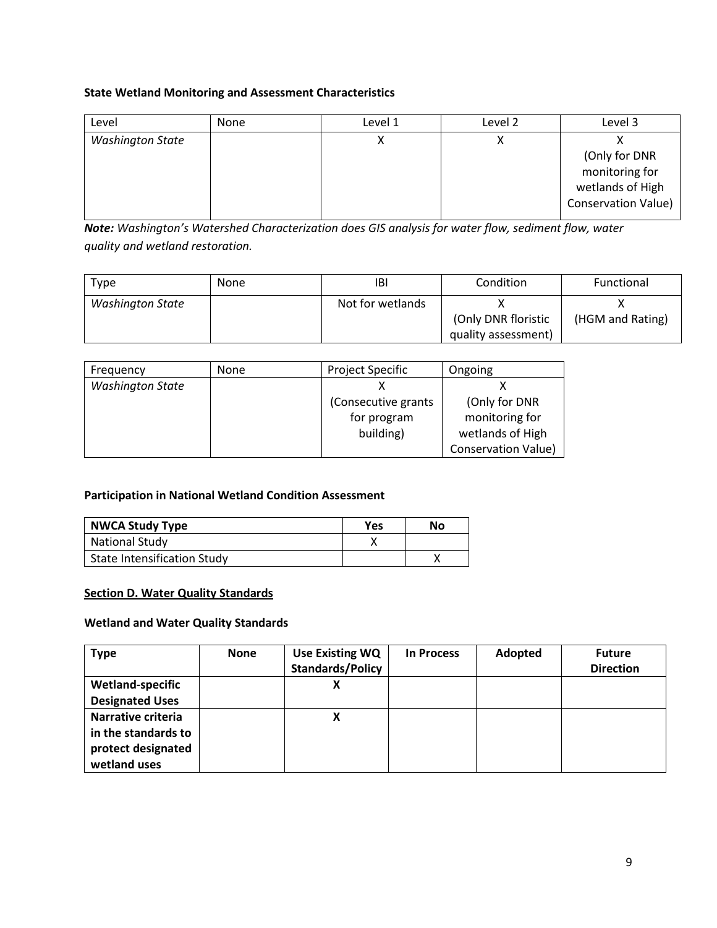# **State Wetland Monitoring and Assessment Characteristics**

| None | Level 1 | Level 2 | Level 3                    |
|------|---------|---------|----------------------------|
|      |         | ∧       |                            |
|      |         |         | (Only for DNR              |
|      |         |         | monitoring for             |
|      |         |         | wetlands of High           |
|      |         |         | <b>Conservation Value)</b> |
|      |         |         |                            |

*Note: Washington's Watershed Characterization does GIS analysis for water flow, sediment flow, water quality and wetland restoration.*

| Tvpe                    | <b>None</b> | IBI              | Condition           | Functional       |
|-------------------------|-------------|------------------|---------------------|------------------|
| <b>Washington State</b> |             | Not for wetlands |                     |                  |
|                         |             |                  | (Only DNR floristic | (HGM and Rating) |
|                         |             |                  | quality assessment) |                  |

| Frequency               | <b>None</b> | <b>Project Specific</b>       | Ongoing                    |
|-------------------------|-------------|-------------------------------|----------------------------|
| <b>Washington State</b> |             |                               |                            |
|                         |             | (Consecutive grants           | (Only for DNR              |
|                         |             | for program                   | monitoring for             |
|                         |             | wetlands of High<br>building) |                            |
|                         |             |                               | <b>Conservation Value)</b> |

## **Participation in National Wetland Condition Assessment**

| <b>NWCA Study Type</b>             | <b>Yes</b> | No |
|------------------------------------|------------|----|
| <b>National Study</b>              |            |    |
| <b>State Intensification Study</b> |            |    |

## <span id="page-8-0"></span>**Section D. Water Quality Standards**

## **Wetland and Water Quality Standards**

| <b>Type</b>             | <b>None</b> | <b>Use Existing WQ</b><br><b>Standards/Policy</b> | <b>In Process</b> | Adopted | <b>Future</b><br><b>Direction</b> |
|-------------------------|-------------|---------------------------------------------------|-------------------|---------|-----------------------------------|
| <b>Wetland-specific</b> |             | х                                                 |                   |         |                                   |
| <b>Designated Uses</b>  |             |                                                   |                   |         |                                   |
| Narrative criteria      |             | χ                                                 |                   |         |                                   |
| in the standards to     |             |                                                   |                   |         |                                   |
| protect designated      |             |                                                   |                   |         |                                   |
| wetland uses            |             |                                                   |                   |         |                                   |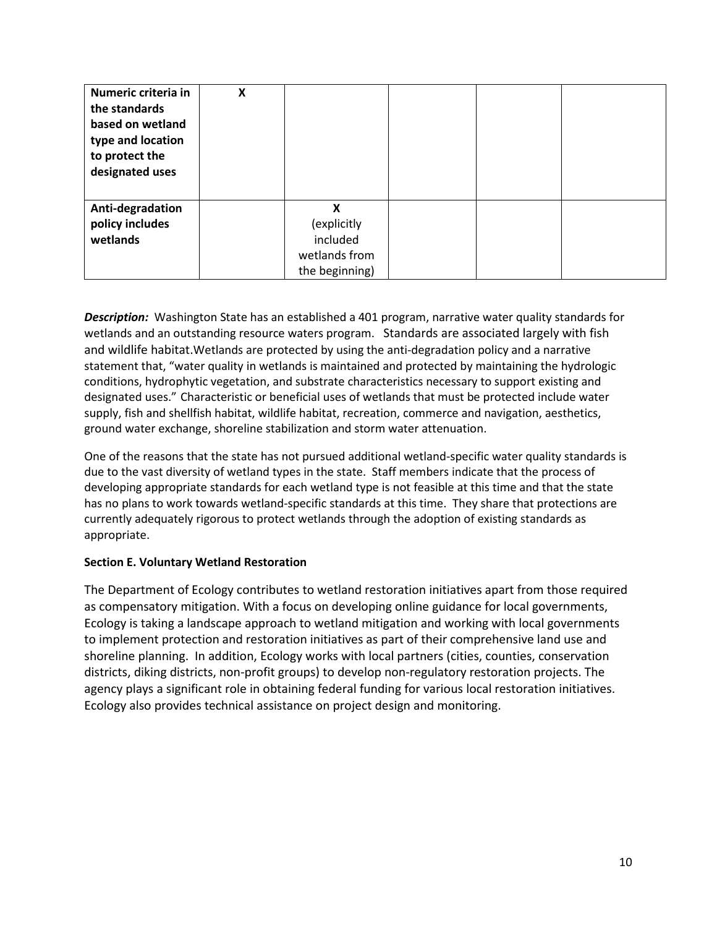| Numeric criteria in<br>the standards<br>based on wetland<br>type and location<br>to protect the<br>designated uses | X |                |  |  |
|--------------------------------------------------------------------------------------------------------------------|---|----------------|--|--|
| Anti-degradation                                                                                                   |   | X              |  |  |
| policy includes                                                                                                    |   | (explicitly    |  |  |
| wetlands                                                                                                           |   | included       |  |  |
|                                                                                                                    |   | wetlands from  |  |  |
|                                                                                                                    |   | the beginning) |  |  |

*Description:* Washington State has an established a 401 program, narrative water quality standards for wetlands and an outstanding resource waters program. Standards are associated largely with fish and wildlife habitat.Wetlands are protected by using the anti-degradation policy and a narrative statement that, "water quality in wetlands is maintained and protected by maintaining the hydrologic conditions, hydrophytic vegetation, and substrate characteristics necessary to support existing and designated uses." Characteristic or beneficial uses of wetlands that must be protected include water supply, fish and shellfish habitat, wildlife habitat, recreation, commerce and navigation, aesthetics, ground water exchange, shoreline stabilization and storm water attenuation.

One of the reasons that the state has not pursued additional wetland-specific water quality standards is due to the vast diversity of wetland types in the state. Staff members indicate that the process of developing appropriate standards for each wetland type is not feasible at this time and that the state has no plans to work towards wetland-specific standards at this time. They share that protections are currently adequately rigorous to protect wetlands through the adoption of existing standards as appropriate.

## <span id="page-9-0"></span>**Section E. Voluntary Wetland Restoration**

The Department of Ecology contributes to wetland restoration initiatives apart from those required as compensatory mitigation. With a focus on developing online guidance for local governments, Ecology is taking a landscape approach to wetland mitigation and working with local governments to implement protection and restoration initiatives as part of their comprehensive land use and shoreline planning. In addition, Ecology works with local partners (cities, counties, conservation districts, diking districts, non-profit groups) to develop non-regulatory restoration projects. The agency plays a significant role in obtaining federal funding for various local restoration initiatives. Ecology also provides technical assistance on project design and monitoring.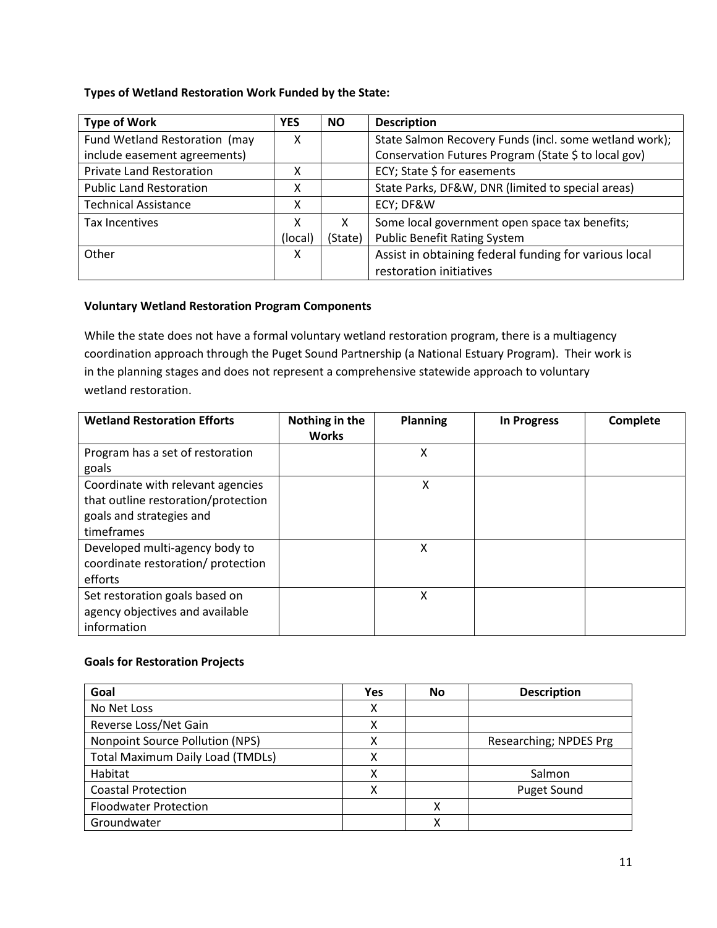## **Types of Wetland Restoration Work Funded by the State:**

| <b>Type of Work</b>             | <b>YES</b> | <b>NO</b> | <b>Description</b>                                     |
|---------------------------------|------------|-----------|--------------------------------------------------------|
| Fund Wetland Restoration (may   | х          |           | State Salmon Recovery Funds (incl. some wetland work); |
| include easement agreements)    |            |           | Conservation Futures Program (State \$ to local gov)   |
| <b>Private Land Restoration</b> | x          |           | ECY; State \$ for easements                            |
| <b>Public Land Restoration</b>  | χ          |           | State Parks, DF&W, DNR (limited to special areas)      |
| <b>Technical Assistance</b>     | χ          |           | ECY; DF&W                                              |
| Tax Incentives                  | х          | X         | Some local government open space tax benefits;         |
|                                 | (local)    | (State)   | <b>Public Benefit Rating System</b>                    |
| Other                           | x          |           | Assist in obtaining federal funding for various local  |
|                                 |            |           | restoration initiatives                                |

## **Voluntary Wetland Restoration Program Components**

While the state does not have a formal voluntary wetland restoration program, there is a multiagency coordination approach through the Puget Sound Partnership (a National Estuary Program). Their work is in the planning stages and does not represent a comprehensive statewide approach to voluntary wetland restoration.

| <b>Wetland Restoration Efforts</b>  | Nothing in the<br><b>Works</b> | <b>Planning</b> | <b>In Progress</b> | Complete |
|-------------------------------------|--------------------------------|-----------------|--------------------|----------|
| Program has a set of restoration    |                                | Χ               |                    |          |
| goals                               |                                |                 |                    |          |
| Coordinate with relevant agencies   |                                | x               |                    |          |
| that outline restoration/protection |                                |                 |                    |          |
| goals and strategies and            |                                |                 |                    |          |
| timeframes                          |                                |                 |                    |          |
| Developed multi-agency body to      |                                | Χ               |                    |          |
| coordinate restoration/ protection  |                                |                 |                    |          |
| efforts                             |                                |                 |                    |          |
| Set restoration goals based on      |                                | x               |                    |          |
| agency objectives and available     |                                |                 |                    |          |
| information                         |                                |                 |                    |          |

## **Goals for Restoration Projects**

| Goal                                    | <b>Yes</b> | No | <b>Description</b>     |
|-----------------------------------------|------------|----|------------------------|
| No Net Loss                             | x          |    |                        |
| Reverse Loss/Net Gain                   | v          |    |                        |
| Nonpoint Source Pollution (NPS)         |            |    | Researching; NPDES Prg |
| <b>Total Maximum Daily Load (TMDLs)</b> |            |    |                        |
| Habitat                                 | х          |    | Salmon                 |
| <b>Coastal Protection</b>               | ν          |    | Puget Sound            |
| <b>Floodwater Protection</b>            |            | χ  |                        |
| Groundwater                             |            | x  |                        |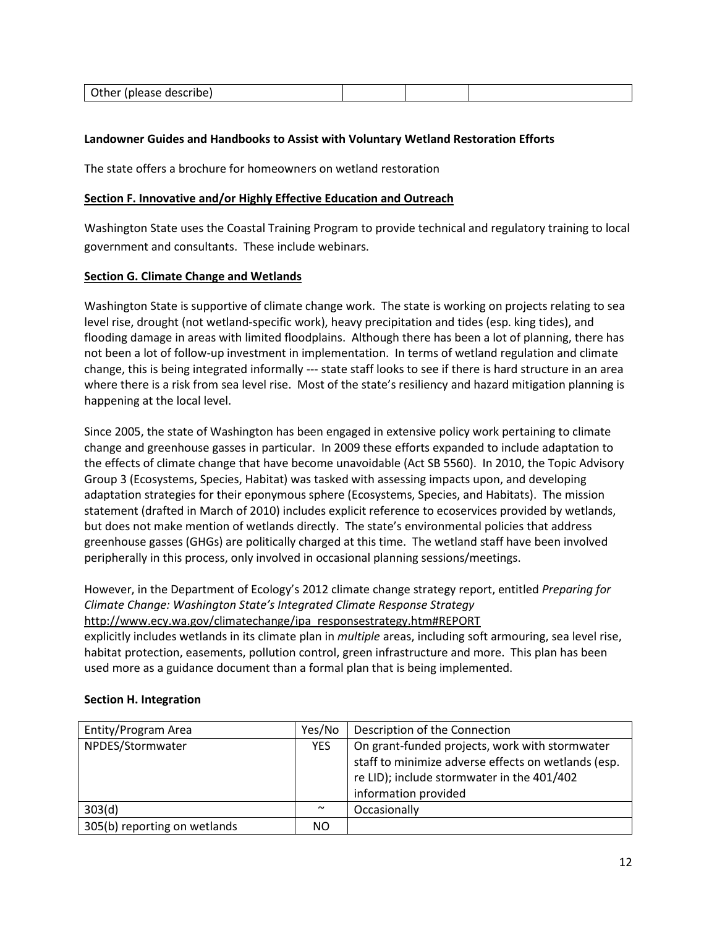| $\bigcap_{n=1}^{\infty}$<br>mease<br>$-$ |  |  |  |
|------------------------------------------|--|--|--|
|                                          |  |  |  |

## **Landowner Guides and Handbooks to Assist with Voluntary Wetland Restoration Efforts**

The state offers a brochure for homeowners on wetland restoration

### <span id="page-11-0"></span>**Section F. Innovative and/or Highly Effective Education and Outreach**

Washington State uses the Coastal Training Program to provide technical and regulatory training to local government and consultants. These include webinars.

## **Section G. Climate Change and Wetlands**

Washington State is supportive of climate change work. The state is working on projects relating to sea level rise, drought (not wetland-specific work), heavy precipitation and tides (esp. king tides), and flooding damage in areas with limited floodplains. Although there has been a lot of planning, there has not been a lot of follow-up investment in implementation. In terms of wetland regulation and climate change, this is being integrated informally --- state staff looks to see if there is hard structure in an area where there is a risk from sea level rise. Most of the state's resiliency and hazard mitigation planning is happening at the local level.

Since 2005, the state of Washington has been engaged in extensive policy work pertaining to climate change and greenhouse gasses in particular. In 2009 these efforts expanded to include adaptation to the effects of climate change that have become unavoidable (Act SB 5560). In 2010, the Topic Advisory Group 3 (Ecosystems, Species, Habitat) was tasked with assessing impacts upon, and developing adaptation strategies for their eponymous sphere (Ecosystems, Species, and Habitats). The mission statement (drafted in March of 2010) includes explicit reference to ecoservices provided by wetlands, but does not make mention of wetlands directly. The state's environmental policies that address greenhouse gasses (GHGs) are politically charged at this time. The wetland staff have been involved peripherally in this process, only involved in occasional planning sessions/meetings.

However, in the Department of Ecology's 2012 climate change strategy report, entitled *Preparing for Climate Change: Washington State's Integrated Climate Response Strategy* [http://www.ecy.wa.gov/climatechange/ipa\\_responsestrategy.htm#REPORT](http://www.ecy.wa.gov/climatechange/ipa_responsestrategy.htm#REPORT)

explicitly includes wetlands in its climate plan in *multiple* areas, including soft armouring, sea level rise, habitat protection, easements, pollution control, green infrastructure and more. This plan has been used more as a guidance document than a formal plan that is being implemented.

| Entity/Program Area          | Yes/No     | Description of the Connection                                                                                                                                               |
|------------------------------|------------|-----------------------------------------------------------------------------------------------------------------------------------------------------------------------------|
| NPDES/Stormwater             | <b>YES</b> | On grant-funded projects, work with stormwater<br>staff to minimize adverse effects on wetlands (esp.<br>re LID); include stormwater in the 401/402<br>information provided |
| 303(d)                       | $\sim$     | Occasionally                                                                                                                                                                |
| 305(b) reporting on wetlands | NO.        |                                                                                                                                                                             |

### <span id="page-11-1"></span>**Section H. Integration**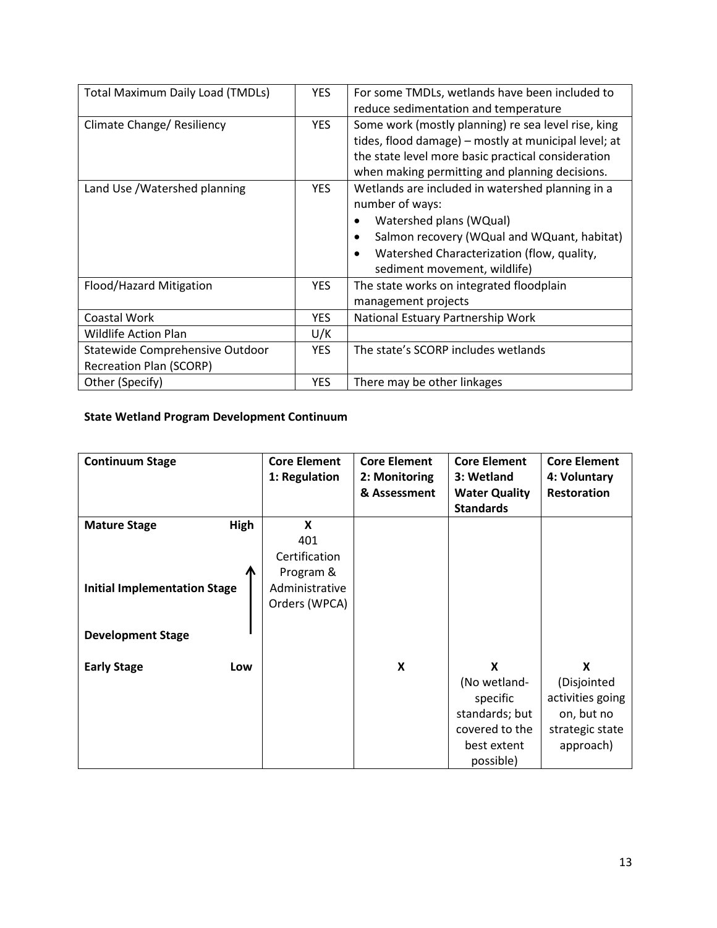| <b>Total Maximum Daily Load (TMDLs)</b>                           | <b>YES</b> | For some TMDLs, wetlands have been included to<br>reduce sedimentation and temperature                                                                                                                                      |
|-------------------------------------------------------------------|------------|-----------------------------------------------------------------------------------------------------------------------------------------------------------------------------------------------------------------------------|
| Climate Change/ Resiliency                                        | <b>YES</b> | Some work (mostly planning) re sea level rise, king<br>tides, flood damage) – mostly at municipal level; at<br>the state level more basic practical consideration<br>when making permitting and planning decisions.         |
| Land Use /Watershed planning                                      | <b>YES</b> | Wetlands are included in watershed planning in a<br>number of ways:<br>Watershed plans (WQual)<br>Salmon recovery (WQual and WQuant, habitat)<br>Watershed Characterization (flow, quality,<br>sediment movement, wildlife) |
| Flood/Hazard Mitigation                                           | YES.       | The state works on integrated floodplain<br>management projects                                                                                                                                                             |
| Coastal Work                                                      | <b>YES</b> | National Estuary Partnership Work                                                                                                                                                                                           |
| Wildlife Action Plan                                              | U/K        |                                                                                                                                                                                                                             |
| Statewide Comprehensive Outdoor<br><b>Recreation Plan (SCORP)</b> | <b>YES</b> | The state's SCORP includes wetlands                                                                                                                                                                                         |
| Other (Specify)                                                   | YES.       | There may be other linkages                                                                                                                                                                                                 |

# **State Wetland Program Development Continuum**

| <b>Continuum Stage</b>              | <b>Core Element</b><br>1: Regulation | <b>Core Element</b><br>2: Monitoring | <b>Core Element</b><br>3: Wetland        | <b>Core Element</b><br>4: Voluntary |
|-------------------------------------|--------------------------------------|--------------------------------------|------------------------------------------|-------------------------------------|
|                                     |                                      | & Assessment                         | <b>Water Quality</b><br><b>Standards</b> | <b>Restoration</b>                  |
| High<br><b>Mature Stage</b>         | X                                    |                                      |                                          |                                     |
|                                     | 401                                  |                                      |                                          |                                     |
|                                     | Certification                        |                                      |                                          |                                     |
| Л                                   | Program &                            |                                      |                                          |                                     |
| <b>Initial Implementation Stage</b> | Administrative                       |                                      |                                          |                                     |
|                                     | Orders (WPCA)                        |                                      |                                          |                                     |
| <b>Development Stage</b>            |                                      |                                      |                                          |                                     |
|                                     |                                      |                                      |                                          |                                     |
| <b>Early Stage</b><br>Low           |                                      | X                                    | X                                        | X                                   |
|                                     |                                      |                                      | (No wetland-                             | (Disjointed                         |
|                                     |                                      |                                      | specific                                 | activities going                    |
|                                     |                                      |                                      | standards; but                           | on, but no                          |
|                                     |                                      |                                      | covered to the                           | strategic state                     |
|                                     |                                      |                                      | best extent                              | approach)                           |
|                                     |                                      |                                      | possible)                                |                                     |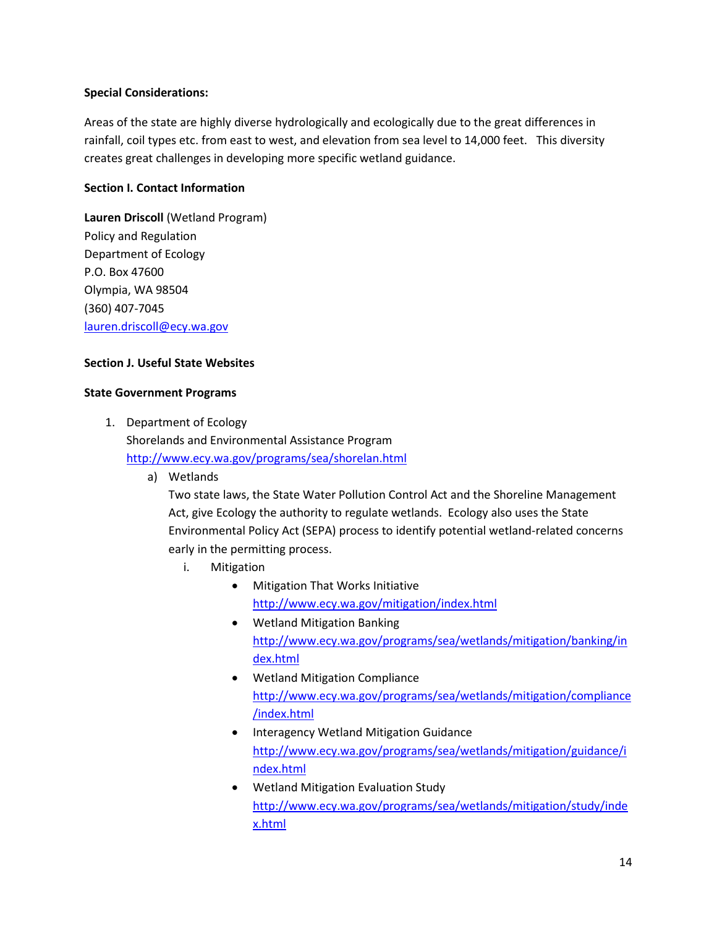## **Special Considerations:**

Areas of the state are highly diverse hydrologically and ecologically due to the great differences in rainfall, coil types etc. from east to west, and elevation from sea level to 14,000 feet. This diversity creates great challenges in developing more specific wetland guidance.

## **Section I. Contact Information**

**Lauren Driscoll** (Wetland Program) Policy and Regulation Department of Ecology P.O. Box 47600 Olympia, WA 98504 (360) 407-7045 [lauren.driscoll@ecy.wa.gov](mailto:lauren.driscoll@ecy.wa.gov)

## **Section J. Useful State Websites**

## **State Government Programs**

- 1. Department of Ecology Shorelands and Environmental Assistance Program <http://www.ecy.wa.gov/programs/sea/shorelan.html>
	- a) Wetlands

Two state laws, the State Water Pollution Control Act and the Shoreline Management Act, give Ecology the authority to regulate wetlands. Ecology also uses the State Environmental Policy Act (SEPA) process to identify potential wetland-related concerns early in the permitting process.

- i. Mitigation
	- Mitigation That Works Initiative <http://www.ecy.wa.gov/mitigation/index.html>
	- Wetland Mitigation Banking [http://www.ecy.wa.gov/programs/sea/wetlands/mitigation/banking/in](http://www.ecy.wa.gov/programs/sea/wetlands/mitigation/banking/index.html) [dex.html](http://www.ecy.wa.gov/programs/sea/wetlands/mitigation/banking/index.html)
	- Wetland Mitigation Compliance [http://www.ecy.wa.gov/programs/sea/wetlands/mitigation/compliance](http://www.ecy.wa.gov/programs/sea/wetlands/mitigation/compliance/index.html) [/index.html](http://www.ecy.wa.gov/programs/sea/wetlands/mitigation/compliance/index.html)
	- Interagency Wetland Mitigation Guidance [http://www.ecy.wa.gov/programs/sea/wetlands/mitigation/guidance/i](http://www.ecy.wa.gov/programs/sea/wetlands/mitigation/guidance/index.html) [ndex.html](http://www.ecy.wa.gov/programs/sea/wetlands/mitigation/guidance/index.html)
	- Wetland Mitigation Evaluation Study [http://www.ecy.wa.gov/programs/sea/wetlands/mitigation/study/inde](http://www.ecy.wa.gov/programs/sea/wetlands/mitigation/study/index.html) [x.html](http://www.ecy.wa.gov/programs/sea/wetlands/mitigation/study/index.html)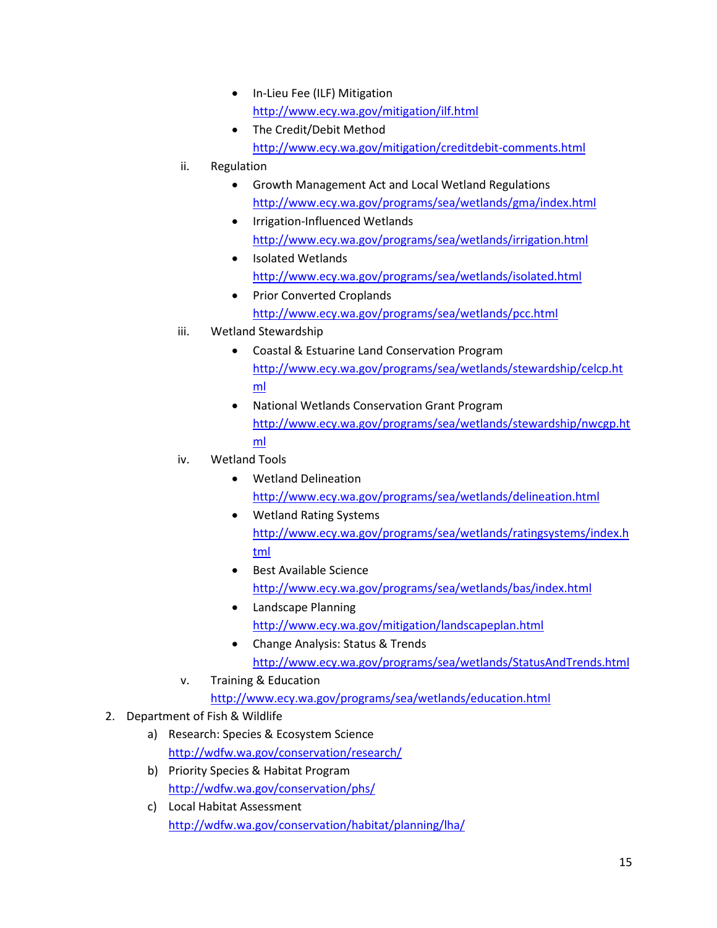- In-Lieu Fee (ILF) Mitigation <http://www.ecy.wa.gov/mitigation/ilf.html>
- The Credit/Debit Method <http://www.ecy.wa.gov/mitigation/creditdebit-comments.html>

# ii. Regulation

- Growth Management Act and Local Wetland Regulations <http://www.ecy.wa.gov/programs/sea/wetlands/gma/index.html>
- Irrigation-Influenced Wetlands <http://www.ecy.wa.gov/programs/sea/wetlands/irrigation.html>
- Isolated Wetlands <http://www.ecy.wa.gov/programs/sea/wetlands/isolated.html>
- Prior Converted Croplands <http://www.ecy.wa.gov/programs/sea/wetlands/pcc.html>
- iii. Wetland Stewardship
	- Coastal & Estuarine Land Conservation Program [http://www.ecy.wa.gov/programs/sea/wetlands/stewardship/celcp.ht](http://www.ecy.wa.gov/programs/sea/wetlands/stewardship/celcp.html) [ml](http://www.ecy.wa.gov/programs/sea/wetlands/stewardship/celcp.html)
	- National Wetlands Conservation Grant Program [http://www.ecy.wa.gov/programs/sea/wetlands/stewardship/nwcgp.ht](http://www.ecy.wa.gov/programs/sea/wetlands/stewardship/nwcgp.html) [ml](http://www.ecy.wa.gov/programs/sea/wetlands/stewardship/nwcgp.html)
- iv. Wetland Tools
	- Wetland Delineation <http://www.ecy.wa.gov/programs/sea/wetlands/delineation.html>
	- Wetland Rating Systems [http://www.ecy.wa.gov/programs/sea/wetlands/ratingsystems/index.h](http://www.ecy.wa.gov/programs/sea/wetlands/ratingsystems/index.html) [tml](http://www.ecy.wa.gov/programs/sea/wetlands/ratingsystems/index.html)
	- Best Available Science <http://www.ecy.wa.gov/programs/sea/wetlands/bas/index.html>
	- Landscape Planning <http://www.ecy.wa.gov/mitigation/landscapeplan.html>
	- Change Analysis: Status & Trends <http://www.ecy.wa.gov/programs/sea/wetlands/StatusAndTrends.html>
- v. Training & Education

<http://www.ecy.wa.gov/programs/sea/wetlands/education.html>

- 2. Department of Fish & Wildlife
	- a) Research: Species & Ecosystem Science <http://wdfw.wa.gov/conservation/research/>
	- b) Priority Species & Habitat Program <http://wdfw.wa.gov/conservation/phs/>
	- c) Local Habitat Assessment <http://wdfw.wa.gov/conservation/habitat/planning/lha/>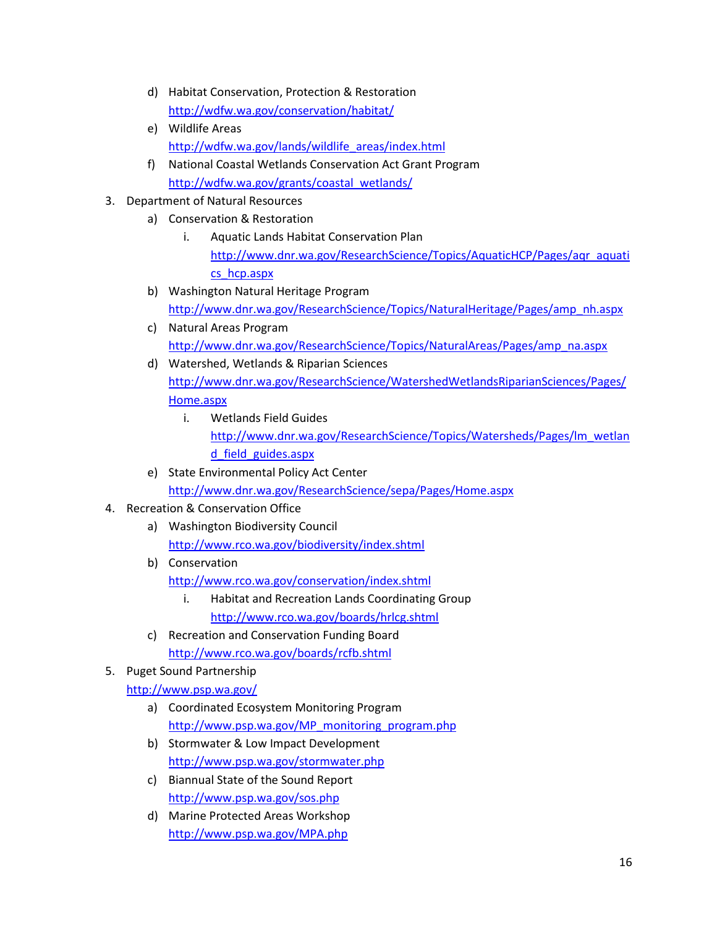- d) Habitat Conservation, Protection & Restoration <http://wdfw.wa.gov/conservation/habitat/>
- e) Wildlife Areas [http://wdfw.wa.gov/lands/wildlife\\_areas/index.html](http://wdfw.wa.gov/lands/wildlife_areas/index.html)
- f) National Coastal Wetlands Conservation Act Grant Program [http://wdfw.wa.gov/grants/coastal\\_wetlands/](http://wdfw.wa.gov/grants/coastal_wetlands/)
- 3. Department of Natural Resources
	- a) Conservation & Restoration
		- i. Aquatic Lands Habitat Conservation Plan [http://www.dnr.wa.gov/ResearchScience/Topics/AquaticHCP/Pages/aqr\\_aquati](http://www.dnr.wa.gov/ResearchScience/Topics/AquaticHCP/Pages/aqr_aquatics_hcp.aspx) [cs\\_hcp.aspx](http://www.dnr.wa.gov/ResearchScience/Topics/AquaticHCP/Pages/aqr_aquatics_hcp.aspx)
	- b) Washington Natural Heritage Program
		- [http://www.dnr.wa.gov/ResearchScience/Topics/NaturalHeritage/Pages/amp\\_nh.aspx](http://www.dnr.wa.gov/ResearchScience/Topics/NaturalHeritage/Pages/amp_nh.aspx)
	- c) Natural Areas Program [http://www.dnr.wa.gov/ResearchScience/Topics/NaturalAreas/Pages/amp\\_na.aspx](http://www.dnr.wa.gov/ResearchScience/Topics/NaturalAreas/Pages/amp_na.aspx)
	- d) Watershed, Wetlands & Riparian Sciences [http://www.dnr.wa.gov/ResearchScience/WatershedWetlandsRiparianSciences/Pages/](http://www.dnr.wa.gov/ResearchScience/WatershedWetlandsRiparianSciences/Pages/Home.aspx) [Home.aspx](http://www.dnr.wa.gov/ResearchScience/WatershedWetlandsRiparianSciences/Pages/Home.aspx)
		- i. Wetlands Field Guides

[http://www.dnr.wa.gov/ResearchScience/Topics/Watersheds/Pages/lm\\_wetlan](http://www.dnr.wa.gov/ResearchScience/Topics/Watersheds/Pages/lm_wetland_field_guides.aspx) [d\\_field\\_guides.aspx](http://www.dnr.wa.gov/ResearchScience/Topics/Watersheds/Pages/lm_wetland_field_guides.aspx)

- e) State Environmental Policy Act Center <http://www.dnr.wa.gov/ResearchScience/sepa/Pages/Home.aspx>
- 4. Recreation & Conservation Office
	- a) Washington Biodiversity Council <http://www.rco.wa.gov/biodiversity/index.shtml>
	- b) Conservation <http://www.rco.wa.gov/conservation/index.shtml>
		- i. Habitat and Recreation Lands Coordinating Group
			- <http://www.rco.wa.gov/boards/hrlcg.shtml>
	- c) Recreation and Conservation Funding Board <http://www.rco.wa.gov/boards/rcfb.shtml>
- 5. Puget Sound Partnership

<http://www.psp.wa.gov/>

- a) Coordinated Ecosystem Monitoring Program [http://www.psp.wa.gov/MP\\_monitoring\\_program.php](http://www.psp.wa.gov/MP_monitoring_program.php)
- b) Stormwater & Low Impact Development <http://www.psp.wa.gov/stormwater.php>
- c) Biannual State of the Sound Report <http://www.psp.wa.gov/sos.php>
- d) Marine Protected Areas Workshop <http://www.psp.wa.gov/MPA.php>